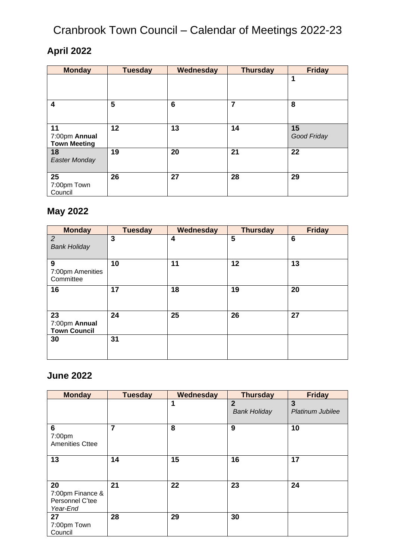### **April 2022**

| <b>Monday</b>                              | <b>Tuesday</b> | Wednesday | <b>Thursday</b> | <b>Friday</b>     |
|--------------------------------------------|----------------|-----------|-----------------|-------------------|
|                                            |                |           |                 | 1                 |
|                                            |                |           |                 |                   |
| 4                                          | 5              | 6         | $\overline{7}$  | 8                 |
| 11<br>7:00pm Annual<br><b>Town Meeting</b> | 12             | 13        | 14              | 15<br>Good Friday |
| 18<br>Easter Monday                        | 19             | 20        | 21              | 22                |
| 25<br>7:00pm Town<br>Council               | 26             | 27        | 28              | 29                |

### **May 2022**

| <b>Monday</b>                              | <b>Tuesday</b> | Wednesday | <b>Thursday</b> | <b>Friday</b> |
|--------------------------------------------|----------------|-----------|-----------------|---------------|
| 2<br><b>Bank Holiday</b>                   | 3              | 4         | 5               | 6             |
| 9<br>7:00pm Amenities<br>Committee         | 10             | 11        | 12              | 13            |
| 16                                         | 17             | 18        | 19              | 20            |
| 23<br>7:00pm Annual<br><b>Town Council</b> | 24             | 25        | 26              | 27            |
| 30                                         | 31             |           |                 |               |

#### **June 2022**

| <b>Monday</b>                                         | <b>Tuesday</b> | Wednesday | <b>Thursday</b>                       | <b>Friday</b>                |
|-------------------------------------------------------|----------------|-----------|---------------------------------------|------------------------------|
|                                                       |                | 1         | $\overline{2}$<br><b>Bank Holiday</b> | 3<br><b>Platinum Jubilee</b> |
| 6<br>7:00pm<br><b>Amenities Cttee</b>                 | $\overline{7}$ | 8         | 9                                     | 10                           |
| 13                                                    | 14             | 15        | 16                                    | 17                           |
| 20<br>7:00pm Finance &<br>Personnel C'tee<br>Year-End | 21             | 22        | 23                                    | 24                           |
| 27<br>7:00pm Town<br>Council                          | 28             | 29        | 30                                    |                              |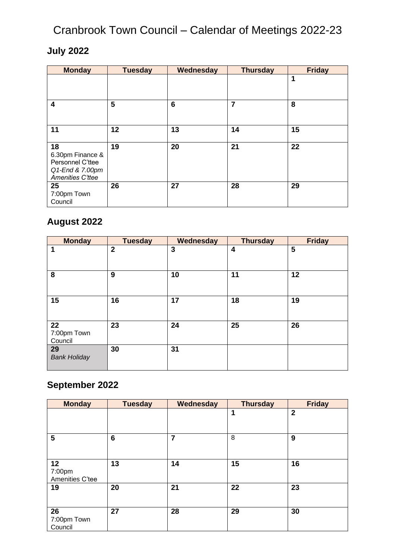### **July 2022**

| <b>Monday</b>                                                                     | <b>Tuesday</b> | Wednesday | <b>Thursday</b> | <b>Friday</b> |
|-----------------------------------------------------------------------------------|----------------|-----------|-----------------|---------------|
|                                                                                   |                |           |                 | 1             |
| $\overline{\mathbf{4}}$                                                           | 5              | 6         | 7               | 8             |
| 11                                                                                | 12             | 13        | 14              | 15            |
| 18<br>6.30pm Finance &<br>Personnel C'ttee<br>Q1-End & 7.00pm<br>Amenities C'ttee | 19             | 20        | 21              | 22            |
| 25<br>7:00pm Town<br>Council                                                      | 26             | 27        | 28              | 29            |

#### **August 2022**

| <b>Monday</b>                | <b>Tuesday</b> | Wednesday | <b>Thursday</b> | <b>Friday</b> |
|------------------------------|----------------|-----------|-----------------|---------------|
| 1                            | $\mathbf 2$    | 3         | 4               | 5             |
| 8                            | 9              | 10        | 11              | 12            |
| 15                           | 16             | 17        | 18              | 19            |
| 22<br>7:00pm Town<br>Council | 23             | 24        | 25              | 26            |
| 29<br><b>Bank Holiday</b>    | 30             | 31        |                 |               |

### **September 2022**

| <b>Monday</b>                   | <b>Tuesday</b> | Wednesday      | <b>Thursday</b> | <b>Friday</b> |
|---------------------------------|----------------|----------------|-----------------|---------------|
|                                 |                |                | 1               | $\mathbf{2}$  |
| 5                               | 6              | $\overline{7}$ | 8               | 9             |
| 12<br>7:00pm<br>Amenities C'tee | 13             | 14             | 15              | 16            |
| 19                              | 20             | 21             | 22              | 23            |
| 26<br>7:00pm Town<br>Council    | 27             | 28             | 29              | 30            |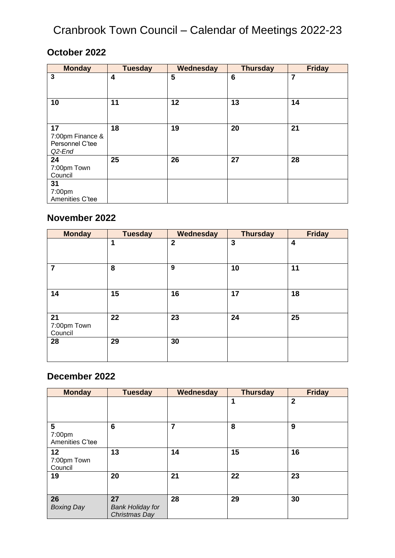#### **October 2022**

| <b>Monday</b>                                       | <b>Tuesday</b> | Wednesday | <b>Thursday</b> | <b>Friday</b>  |
|-----------------------------------------------------|----------------|-----------|-----------------|----------------|
| 3                                                   | 4              | 5         | 6               | $\overline{7}$ |
| 10                                                  | 11             | 12        | 13              | 14             |
| 17<br>7:00pm Finance &<br>Personnel C'tee<br>Q2-End | 18             | 19        | 20              | 21             |
| 24<br>7:00pm Town<br>Council                        | 25             | 26        | 27              | 28             |
| 31<br>7:00pm<br>Amenities C'tee                     |                |           |                 |                |

#### **November 2022**

| <b>Monday</b>  | <b>Tuesday</b> | Wednesday      | <b>Thursday</b> | <b>Friday</b>           |
|----------------|----------------|----------------|-----------------|-------------------------|
|                | 1              | $\overline{2}$ | 3               | $\overline{\mathbf{4}}$ |
|                |                |                |                 |                         |
| $\overline{7}$ | 8              | 9              | 10              | 11                      |
|                |                |                |                 |                         |
| 14             | 15             | 16             | 17              | 18                      |
|                |                |                |                 |                         |
| 21             | 22             | 23             | 24              | 25                      |
| 7:00pm Town    |                |                |                 |                         |
| Council        |                |                |                 |                         |
| 28             | 29             | 30             |                 |                         |
|                |                |                |                 |                         |
|                |                |                |                 |                         |

#### **December 2022**

| <b>Monday</b>                  | <b>Tuesday</b>                                 | Wednesday | <b>Thursday</b> | <b>Friday</b> |
|--------------------------------|------------------------------------------------|-----------|-----------------|---------------|
|                                |                                                |           | 1               | $\mathbf{2}$  |
| 5<br>7:00pm<br>Amenities C'tee | 6                                              | 7         | 8               | 9             |
| 12<br>7:00pm Town<br>Council   | 13                                             | 14        | 15              | 16            |
| 19                             | 20                                             | 21        | 22              | 23            |
| 26<br><b>Boxing Day</b>        | 27<br><b>Bank Holiday for</b><br>Christmas Day | 28        | 29              | 30            |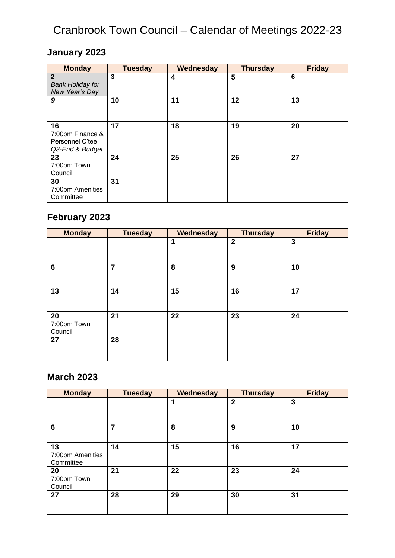### **January 2023**

| <b>Monday</b>           | <b>Tuesday</b> | Wednesday | <b>Thursday</b> | <b>Friday</b> |
|-------------------------|----------------|-----------|-----------------|---------------|
| $\overline{2}$          | 3              | 4         | 5               | 6             |
| <b>Bank Holiday for</b> |                |           |                 |               |
| New Year's Day          |                |           |                 |               |
| 9                       | 10             | 11        | 12              | 13            |
|                         |                |           |                 |               |
|                         |                |           |                 |               |
| 16                      | 17             | 18        | 19              | 20            |
| 7:00pm Finance &        |                |           |                 |               |
| Personnel C'tee         |                |           |                 |               |
| Q3-End & Budget         |                |           |                 |               |
| 23                      | 24             | 25        | 26              | 27            |
| 7:00pm Town             |                |           |                 |               |
| Council                 |                |           |                 |               |
| 30                      | 31             |           |                 |               |
| 7:00pm Amenities        |                |           |                 |               |
| Committee               |                |           |                 |               |

### **February 2023**

| <b>Monday</b>                | <b>Tuesday</b> | Wednesday   | <b>Thursday</b> | <b>Friday</b>  |
|------------------------------|----------------|-------------|-----------------|----------------|
|                              |                | $\mathbf 1$ | $\mathbf{2}$    | $\overline{3}$ |
| $6\phantom{1}$               | $\overline{7}$ | 8           | 9               | 10             |
| 13                           | 14             | 15          | 16              | 17             |
| 20<br>7:00pm Town<br>Council | 21             | 22          | 23              | 24             |
| 27                           | 28             |             |                 |                |

### **March 2023**

| <b>Monday</b>                       | <b>Tuesday</b> | Wednesday | <b>Thursday</b> | <b>Friday</b> |
|-------------------------------------|----------------|-----------|-----------------|---------------|
|                                     |                | 1         | $\overline{2}$  | 3             |
| 6                                   | 7              | 8         | 9               | 10            |
| 13<br>7:00pm Amenities<br>Committee | 14             | 15        | 16              | 17            |
| 20<br>7:00pm Town<br>Council        | 21             | 22        | 23              | 24            |
| 27                                  | 28             | 29        | 30              | 31            |